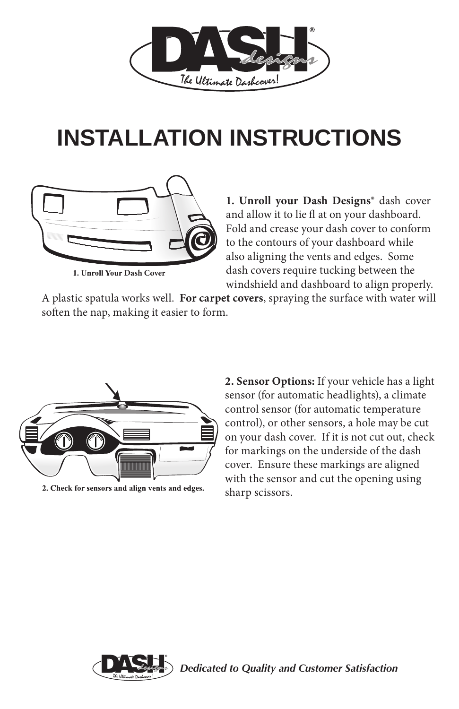

## **INSTALLATION INSTRUCTIONS**



**1. Unroll Your Dash Cover** 

**1. Unroll your Dash Designs®** dash cover and allow it to lie fl at on your dashboard. Fold and crease your dash cover to conform to the contours of your dashboard while also aligning the vents and edges. Some dash covers require tucking between the windshield and dashboard to align properly.

A plastic spatula works well. **For carpet covers**, spraying the surface with water will soften the nap, making it easier to form.



2. Check for sensors and align vents and edges.

**2. Sensor Options:** If your vehicle has a light sensor (for automatic headlights), a climate control sensor (for automatic temperature control), or other sensors, a hole may be cut on your dash cover. If it is not cut out, check for markings on the underside of the dash cover. Ensure these markings are aligned with the sensor and cut the opening using sharp scissors.